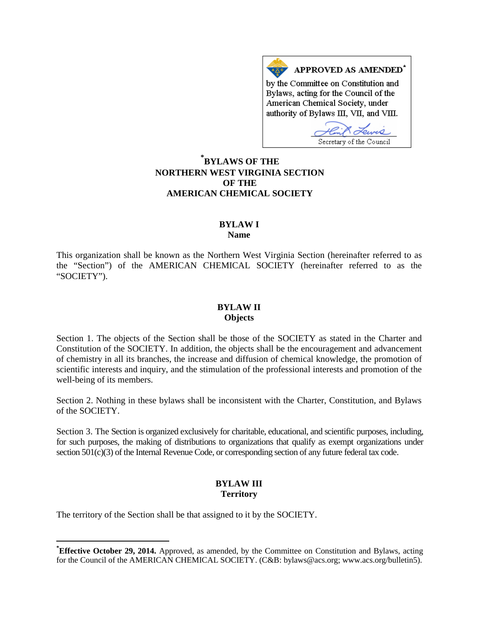APPROVED AS AMENDED<sup>\*</sup> by the Committee on Constitution and Bylaws, acting for the Council of the American Chemical Society, under authority of Bylaws III, VII, and VIII.

Secretary of the Council

# **[\\*](#page-0-0) BYLAWS OF THE NORTHERN WEST VIRGINIA SECTION OF THE AMERICAN CHEMICAL SOCIETY**

#### **BYLAW I Name**

This organization shall be known as the Northern West Virginia Section (hereinafter referred to as the "Section") of the AMERICAN CHEMICAL SOCIETY (hereinafter referred to as the "SOCIETY").

### **BYLAW II Objects**

Section 1. The objects of the Section shall be those of the SOCIETY as stated in the Charter and Constitution of the SOCIETY. In addition, the objects shall be the encouragement and advancement of chemistry in all its branches, the increase and diffusion of chemical knowledge, the promotion of scientific interests and inquiry, and the stimulation of the professional interests and promotion of the well-being of its members.

Section 2. Nothing in these bylaws shall be inconsistent with the Charter, Constitution, and Bylaws of the SOCIETY.

Section 3. The Section is organized exclusively for charitable, educational, and scientific purposes, including, for such purposes, the making of distributions to organizations that qualify as exempt organizations under section 501(c)(3) of the Internal Revenue Code, or corresponding section of any future federal tax code.

## **BYLAW III Territory**

The territory of the Section shall be that assigned to it by the SOCIETY.

<span id="page-0-0"></span>**\* Effective October 29, 2014.** Approved, as amended, by the Committee on Constitution and Bylaws, acting for the Council of the AMERICAN CHEMICAL SOCIETY. (C&B: bylaws@acs.org; www.acs.org/bulletin5).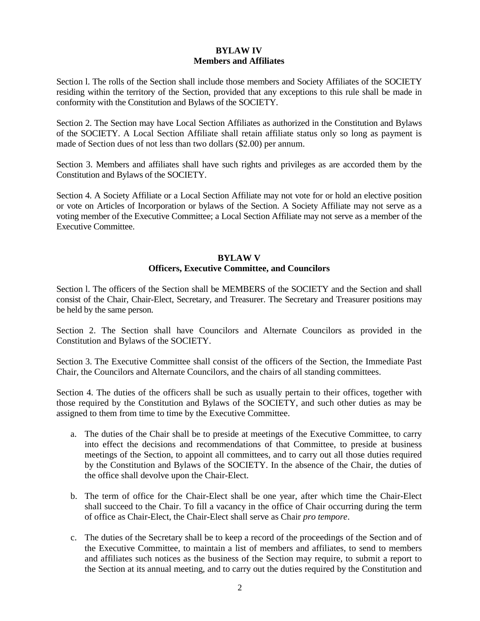## **BYLAW IV Members and Affiliates**

Section l. The rolls of the Section shall include those members and Society Affiliates of the SOCIETY residing within the territory of the Section, provided that any exceptions to this rule shall be made in conformity with the Constitution and Bylaws of the SOCIETY.

Section 2. The Section may have Local Section Affiliates as authorized in the Constitution and Bylaws of the SOCIETY. A Local Section Affiliate shall retain affiliate status only so long as payment is made of Section dues of not less than two dollars (\$2.00) per annum.

Section 3. Members and affiliates shall have such rights and privileges as are accorded them by the Constitution and Bylaws of the SOCIETY.

Section 4. A Society Affiliate or a Local Section Affiliate may not vote for or hold an elective position or vote on Articles of Incorporation or bylaws of the Section. A Society Affiliate may not serve as a voting member of the Executive Committee; a Local Section Affiliate may not serve as a member of the Executive Committee.

### **BYLAW V Officers, Executive Committee, and Councilors**

Section l. The officers of the Section shall be MEMBERS of the SOCIETY and the Section and shall consist of the Chair, Chair-Elect, Secretary, and Treasurer. The Secretary and Treasurer positions may be held by the same person.

Section 2. The Section shall have Councilors and Alternate Councilors as provided in the Constitution and Bylaws of the SOCIETY.

Section 3. The Executive Committee shall consist of the officers of the Section, the Immediate Past Chair, the Councilors and Alternate Councilors, and the chairs of all standing committees.

Section 4. The duties of the officers shall be such as usually pertain to their offices, together with those required by the Constitution and Bylaws of the SOCIETY, and such other duties as may be assigned to them from time to time by the Executive Committee.

- a. The duties of the Chair shall be to preside at meetings of the Executive Committee, to carry into effect the decisions and recommendations of that Committee, to preside at business meetings of the Section, to appoint all committees, and to carry out all those duties required by the Constitution and Bylaws of the SOCIETY. In the absence of the Chair, the duties of the office shall devolve upon the Chair-Elect.
- b. The term of office for the Chair-Elect shall be one year, after which time the Chair-Elect shall succeed to the Chair. To fill a vacancy in the office of Chair occurring during the term of office as Chair-Elect, the Chair-Elect shall serve as Chair *pro tempore*.
- c. The duties of the Secretary shall be to keep a record of the proceedings of the Section and of the Executive Committee, to maintain a list of members and affiliates, to send to members and affiliates such notices as the business of the Section may require, to submit a report to the Section at its annual meeting, and to carry out the duties required by the Constitution and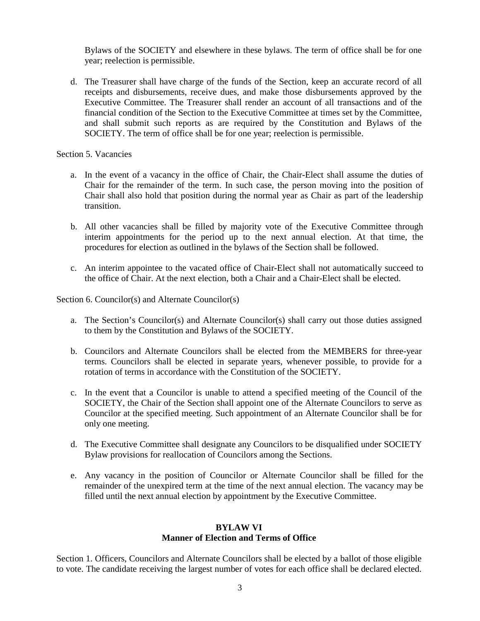Bylaws of the SOCIETY and elsewhere in these bylaws. The term of office shall be for one year; reelection is permissible.

d. The Treasurer shall have charge of the funds of the Section, keep an accurate record of all receipts and disbursements, receive dues, and make those disbursements approved by the Executive Committee. The Treasurer shall render an account of all transactions and of the financial condition of the Section to the Executive Committee at times set by the Committee, and shall submit such reports as are required by the Constitution and Bylaws of the SOCIETY. The term of office shall be for one year; reelection is permissible.

Section 5. Vacancies

- a. In the event of a vacancy in the office of Chair, the Chair-Elect shall assume the duties of Chair for the remainder of the term. In such case, the person moving into the position of Chair shall also hold that position during the normal year as Chair as part of the leadership transition.
- b. All other vacancies shall be filled by majority vote of the Executive Committee through interim appointments for the period up to the next annual election. At that time, the procedures for election as outlined in the bylaws of the Section shall be followed.
- c. An interim appointee to the vacated office of Chair-Elect shall not automatically succeed to the office of Chair. At the next election, both a Chair and a Chair-Elect shall be elected.

Section 6. Councilor(s) and Alternate Councilor(s)

- a. The Section's Councilor(s) and Alternate Councilor(s) shall carry out those duties assigned to them by the Constitution and Bylaws of the SOCIETY.
- b. Councilors and Alternate Councilors shall be elected from the MEMBERS for three-year terms. Councilors shall be elected in separate years, whenever possible, to provide for a rotation of terms in accordance with the Constitution of the SOCIETY.
- c. In the event that a Councilor is unable to attend a specified meeting of the Council of the SOCIETY, the Chair of the Section shall appoint one of the Alternate Councilors to serve as Councilor at the specified meeting. Such appointment of an Alternate Councilor shall be for only one meeting.
- d. The Executive Committee shall designate any Councilors to be disqualified under SOCIETY Bylaw provisions for reallocation of Councilors among the Sections.
- e. Any vacancy in the position of Councilor or Alternate Councilor shall be filled for the remainder of the unexpired term at the time of the next annual election. The vacancy may be filled until the next annual election by appointment by the Executive Committee.

# **BYLAW VI**

# **Manner of Election and Terms of Office**

Section 1. Officers, Councilors and Alternate Councilors shall be elected by a ballot of those eligible to vote. The candidate receiving the largest number of votes for each office shall be declared elected.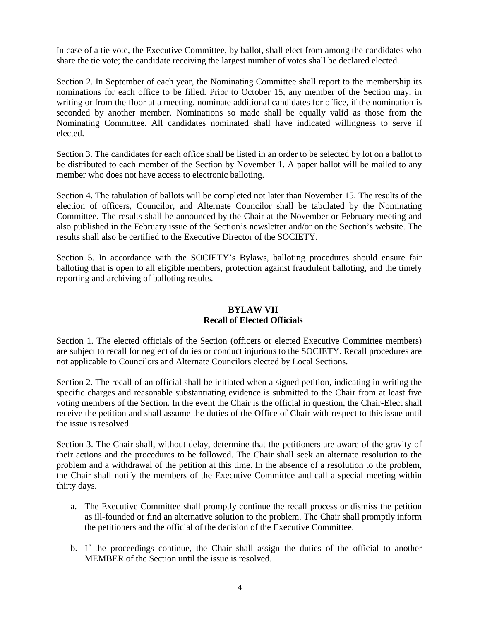In case of a tie vote, the Executive Committee, by ballot, shall elect from among the candidates who share the tie vote; the candidate receiving the largest number of votes shall be declared elected.

Section 2. In September of each year, the Nominating Committee shall report to the membership its nominations for each office to be filled. Prior to October 15, any member of the Section may, in writing or from the floor at a meeting, nominate additional candidates for office, if the nomination is seconded by another member. Nominations so made shall be equally valid as those from the Nominating Committee. All candidates nominated shall have indicated willingness to serve if elected.

Section 3. The candidates for each office shall be listed in an order to be selected by lot on a ballot to be distributed to each member of the Section by November 1. A paper ballot will be mailed to any member who does not have access to electronic balloting.

Section 4. The tabulation of ballots will be completed not later than November 15. The results of the election of officers, Councilor, and Alternate Councilor shall be tabulated by the Nominating Committee. The results shall be announced by the Chair at the November or February meeting and also published in the February issue of the Section's newsletter and/or on the Section's website. The results shall also be certified to the Executive Director of the SOCIETY.

Section 5. In accordance with the SOCIETY's Bylaws, balloting procedures should ensure fair balloting that is open to all eligible members, protection against fraudulent balloting, and the timely reporting and archiving of balloting results.

## **BYLAW VII Recall of Elected Officials**

Section 1. The elected officials of the Section (officers or elected Executive Committee members) are subject to recall for neglect of duties or conduct injurious to the SOCIETY. Recall procedures are not applicable to Councilors and Alternate Councilors elected by Local Sections.

Section 2. The recall of an official shall be initiated when a signed petition, indicating in writing the specific charges and reasonable substantiating evidence is submitted to the Chair from at least five voting members of the Section. In the event the Chair is the official in question, the Chair-Elect shall receive the petition and shall assume the duties of the Office of Chair with respect to this issue until the issue is resolved.

Section 3. The Chair shall, without delay, determine that the petitioners are aware of the gravity of their actions and the procedures to be followed. The Chair shall seek an alternate resolution to the problem and a withdrawal of the petition at this time. In the absence of a resolution to the problem, the Chair shall notify the members of the Executive Committee and call a special meeting within thirty days.

- a. The Executive Committee shall promptly continue the recall process or dismiss the petition as ill-founded or find an alternative solution to the problem. The Chair shall promptly inform the petitioners and the official of the decision of the Executive Committee.
- b. If the proceedings continue, the Chair shall assign the duties of the official to another MEMBER of the Section until the issue is resolved.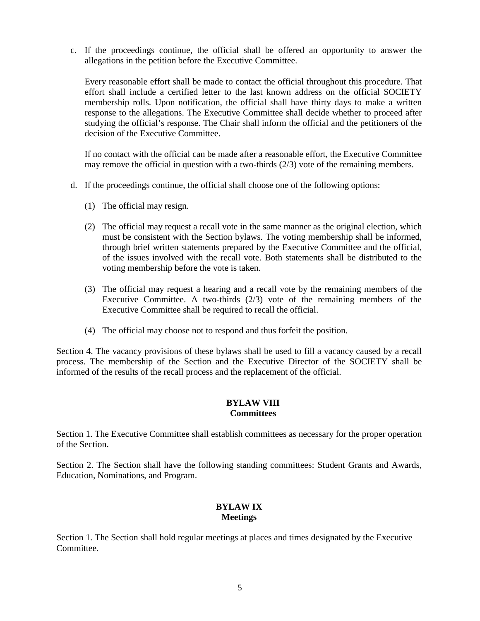c. If the proceedings continue, the official shall be offered an opportunity to answer the allegations in the petition before the Executive Committee.

Every reasonable effort shall be made to contact the official throughout this procedure. That effort shall include a certified letter to the last known address on the official SOCIETY membership rolls. Upon notification, the official shall have thirty days to make a written response to the allegations. The Executive Committee shall decide whether to proceed after studying the official's response. The Chair shall inform the official and the petitioners of the decision of the Executive Committee.

If no contact with the official can be made after a reasonable effort, the Executive Committee may remove the official in question with a two-thirds (2/3) vote of the remaining members.

- d. If the proceedings continue, the official shall choose one of the following options:
	- (1) The official may resign.
	- (2) The official may request a recall vote in the same manner as the original election, which must be consistent with the Section bylaws. The voting membership shall be informed, through brief written statements prepared by the Executive Committee and the official, of the issues involved with the recall vote. Both statements shall be distributed to the voting membership before the vote is taken.
	- (3) The official may request a hearing and a recall vote by the remaining members of the Executive Committee. A two-thirds  $(2/3)$  vote of the remaining members of the Executive Committee shall be required to recall the official.
	- (4) The official may choose not to respond and thus forfeit the position.

Section 4. The vacancy provisions of these bylaws shall be used to fill a vacancy caused by a recall process. The membership of the Section and the Executive Director of the SOCIETY shall be informed of the results of the recall process and the replacement of the official.

### **BYLAW VIII Committees**

Section 1. The Executive Committee shall establish committees as necessary for the proper operation of the Section.

Section 2. The Section shall have the following standing committees: Student Grants and Awards, Education, Nominations, and Program.

## **BYLAW IX Meetings**

Section 1. The Section shall hold regular meetings at places and times designated by the Executive Committee.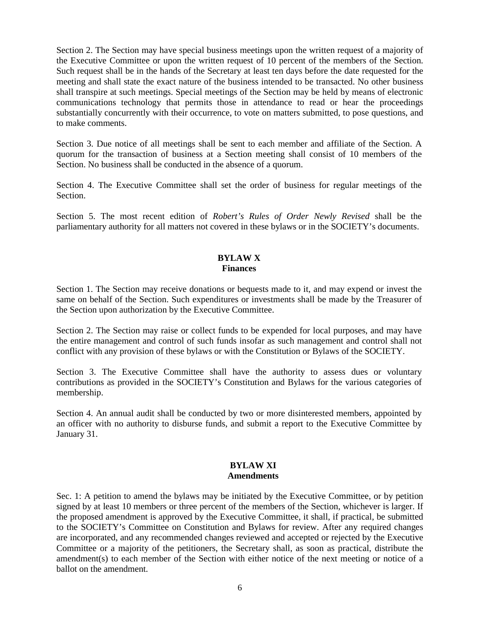Section 2. The Section may have special business meetings upon the written request of a majority of the Executive Committee or upon the written request of 10 percent of the members of the Section. Such request shall be in the hands of the Secretary at least ten days before the date requested for the meeting and shall state the exact nature of the business intended to be transacted. No other business shall transpire at such meetings. Special meetings of the Section may be held by means of electronic communications technology that permits those in attendance to read or hear the proceedings substantially concurrently with their occurrence, to vote on matters submitted, to pose questions, and to make comments.

Section 3. Due notice of all meetings shall be sent to each member and affiliate of the Section. A quorum for the transaction of business at a Section meeting shall consist of 10 members of the Section. No business shall be conducted in the absence of a quorum.

Section 4. The Executive Committee shall set the order of business for regular meetings of the Section.

Section 5. The most recent edition of *Robert's Rules of Order Newly Revised* shall be the parliamentary authority for all matters not covered in these bylaws or in the SOCIETY's documents.

#### **BYLAW X Finances**

Section 1. The Section may receive donations or bequests made to it, and may expend or invest the same on behalf of the Section. Such expenditures or investments shall be made by the Treasurer of the Section upon authorization by the Executive Committee.

Section 2. The Section may raise or collect funds to be expended for local purposes, and may have the entire management and control of such funds insofar as such management and control shall not conflict with any provision of these bylaws or with the Constitution or Bylaws of the SOCIETY.

Section 3. The Executive Committee shall have the authority to assess dues or voluntary contributions as provided in the SOCIETY's Constitution and Bylaws for the various categories of membership.

Section 4. An annual audit shall be conducted by two or more disinterested members, appointed by an officer with no authority to disburse funds, and submit a report to the Executive Committee by January 31.

### **BYLAW XI Amendments**

Sec. 1: A petition to amend the bylaws may be initiated by the Executive Committee, or by petition signed by at least 10 members or three percent of the members of the Section, whichever is larger. If the proposed amendment is approved by the Executive Committee, it shall, if practical, be submitted to the SOCIETY's Committee on Constitution and Bylaws for review. After any required changes are incorporated, and any recommended changes reviewed and accepted or rejected by the Executive Committee or a majority of the petitioners, the Secretary shall, as soon as practical, distribute the amendment(s) to each member of the Section with either notice of the next meeting or notice of a ballot on the amendment.